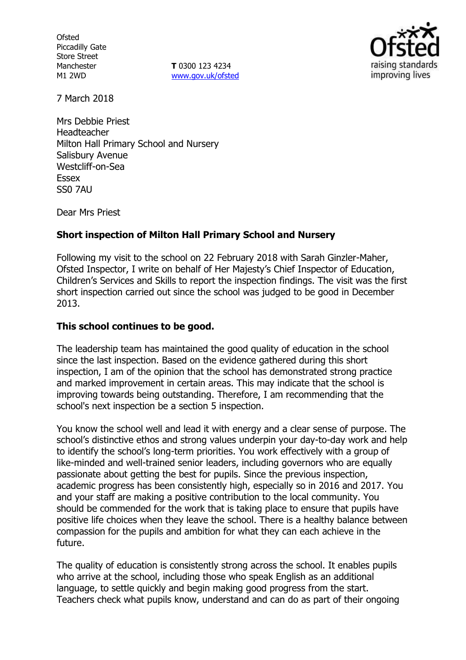**Ofsted** Piccadilly Gate Store Street Manchester M1 2WD

**T** 0300 123 4234 www.gov.uk/ofsted



7 March 2018

Mrs Debbie Priest Headteacher Milton Hall Primary School and Nursery Salisbury Avenue Westcliff-on-Sea Essex SS0 7AU

Dear Mrs Priest

## **Short inspection of Milton Hall Primary School and Nursery**

Following my visit to the school on 22 February 2018 with Sarah Ginzler-Maher, Ofsted Inspector, I write on behalf of Her Majesty's Chief Inspector of Education, Children's Services and Skills to report the inspection findings. The visit was the first short inspection carried out since the school was judged to be good in December 2013.

### **This school continues to be good.**

The leadership team has maintained the good quality of education in the school since the last inspection. Based on the evidence gathered during this short inspection, I am of the opinion that the school has demonstrated strong practice and marked improvement in certain areas. This may indicate that the school is improving towards being outstanding. Therefore, I am recommending that the school's next inspection be a section 5 inspection.

You know the school well and lead it with energy and a clear sense of purpose. The school's distinctive ethos and strong values underpin your day-to-day work and help to identify the school's long-term priorities. You work effectively with a group of like-minded and well-trained senior leaders, including governors who are equally passionate about getting the best for pupils. Since the previous inspection, academic progress has been consistently high, especially so in 2016 and 2017. You and your staff are making a positive contribution to the local community. You should be commended for the work that is taking place to ensure that pupils have positive life choices when they leave the school. There is a healthy balance between compassion for the pupils and ambition for what they can each achieve in the future.

The quality of education is consistently strong across the school. It enables pupils who arrive at the school, including those who speak English as an additional language, to settle quickly and begin making good progress from the start. Teachers check what pupils know, understand and can do as part of their ongoing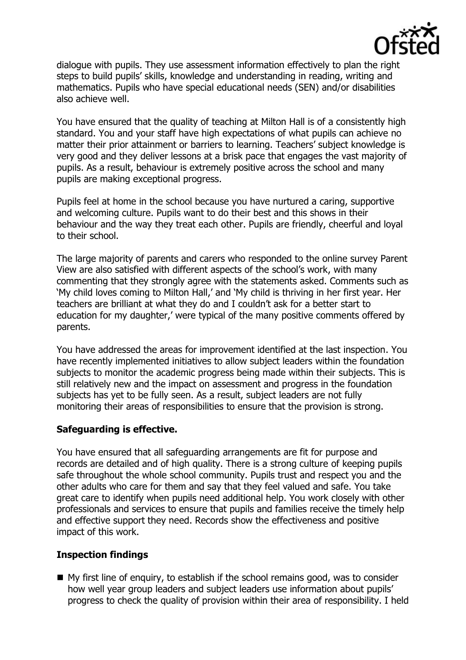

dialogue with pupils. They use assessment information effectively to plan the right steps to build pupils' skills, knowledge and understanding in reading, writing and mathematics. Pupils who have special educational needs (SEN) and/or disabilities also achieve well.

You have ensured that the quality of teaching at Milton Hall is of a consistently high standard. You and your staff have high expectations of what pupils can achieve no matter their prior attainment or barriers to learning. Teachers' subject knowledge is very good and they deliver lessons at a brisk pace that engages the vast majority of pupils. As a result, behaviour is extremely positive across the school and many pupils are making exceptional progress.

Pupils feel at home in the school because you have nurtured a caring, supportive and welcoming culture. Pupils want to do their best and this shows in their behaviour and the way they treat each other. Pupils are friendly, cheerful and loyal to their school.

The large majority of parents and carers who responded to the online survey Parent View are also satisfied with different aspects of the school's work, with many commenting that they strongly agree with the statements asked. Comments such as 'My child loves coming to Milton Hall,' and 'My child is thriving in her first year. Her teachers are brilliant at what they do and I couldn't ask for a better start to education for my daughter,' were typical of the many positive comments offered by parents.

You have addressed the areas for improvement identified at the last inspection. You have recently implemented initiatives to allow subject leaders within the foundation subjects to monitor the academic progress being made within their subjects. This is still relatively new and the impact on assessment and progress in the foundation subjects has yet to be fully seen. As a result, subject leaders are not fully monitoring their areas of responsibilities to ensure that the provision is strong.

### **Safeguarding is effective.**

You have ensured that all safeguarding arrangements are fit for purpose and records are detailed and of high quality. There is a strong culture of keeping pupils safe throughout the whole school community. Pupils trust and respect you and the other adults who care for them and say that they feel valued and safe. You take great care to identify when pupils need additional help. You work closely with other professionals and services to ensure that pupils and families receive the timely help and effective support they need. Records show the effectiveness and positive impact of this work.

### **Inspection findings**

 $\blacksquare$  My first line of enguiry, to establish if the school remains good, was to consider how well year group leaders and subject leaders use information about pupils' progress to check the quality of provision within their area of responsibility. I held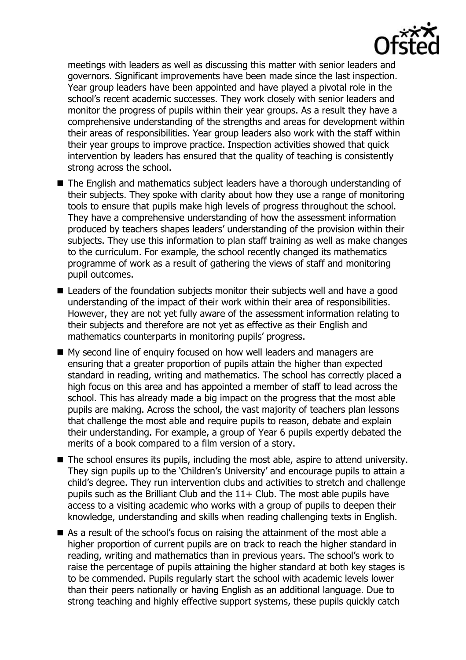

meetings with leaders as well as discussing this matter with senior leaders and governors. Significant improvements have been made since the last inspection. Year group leaders have been appointed and have played a pivotal role in the school's recent academic successes. They work closely with senior leaders and monitor the progress of pupils within their year groups. As a result they have a comprehensive understanding of the strengths and areas for development within their areas of responsibilities. Year group leaders also work with the staff within their year groups to improve practice. Inspection activities showed that quick intervention by leaders has ensured that the quality of teaching is consistently strong across the school.

- The English and mathematics subject leaders have a thorough understanding of their subjects. They spoke with clarity about how they use a range of monitoring tools to ensure that pupils make high levels of progress throughout the school. They have a comprehensive understanding of how the assessment information produced by teachers shapes leaders' understanding of the provision within their subjects. They use this information to plan staff training as well as make changes to the curriculum. For example, the school recently changed its mathematics programme of work as a result of gathering the views of staff and monitoring pupil outcomes.
- Leaders of the foundation subjects monitor their subjects well and have a good understanding of the impact of their work within their area of responsibilities. However, they are not yet fully aware of the assessment information relating to their subjects and therefore are not yet as effective as their English and mathematics counterparts in monitoring pupils' progress.
- My second line of enquiry focused on how well leaders and managers are ensuring that a greater proportion of pupils attain the higher than expected standard in reading, writing and mathematics. The school has correctly placed a high focus on this area and has appointed a member of staff to lead across the school. This has already made a big impact on the progress that the most able pupils are making. Across the school, the vast majority of teachers plan lessons that challenge the most able and require pupils to reason, debate and explain their understanding. For example, a group of Year 6 pupils expertly debated the merits of a book compared to a film version of a story.
- The school ensures its pupils, including the most able, aspire to attend university. They sign pupils up to the 'Children's University' and encourage pupils to attain a child's degree. They run intervention clubs and activities to stretch and challenge pupils such as the Brilliant Club and the  $11+$  Club. The most able pupils have access to a visiting academic who works with a group of pupils to deepen their knowledge, understanding and skills when reading challenging texts in English.
- As a result of the school's focus on raising the attainment of the most able a higher proportion of current pupils are on track to reach the higher standard in reading, writing and mathematics than in previous years. The school's work to raise the percentage of pupils attaining the higher standard at both key stages is to be commended. Pupils regularly start the school with academic levels lower than their peers nationally or having English as an additional language. Due to strong teaching and highly effective support systems, these pupils quickly catch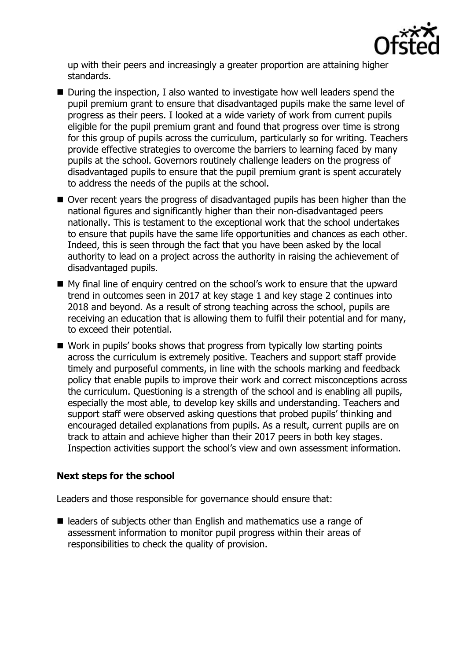

up with their peers and increasingly a greater proportion are attaining higher standards.

- During the inspection, I also wanted to investigate how well leaders spend the pupil premium grant to ensure that disadvantaged pupils make the same level of progress as their peers. I looked at a wide variety of work from current pupils eligible for the pupil premium grant and found that progress over time is strong for this group of pupils across the curriculum, particularly so for writing. Teachers provide effective strategies to overcome the barriers to learning faced by many pupils at the school. Governors routinely challenge leaders on the progress of disadvantaged pupils to ensure that the pupil premium grant is spent accurately to address the needs of the pupils at the school.
- Over recent years the progress of disadvantaged pupils has been higher than the national figures and significantly higher than their non-disadvantaged peers nationally. This is testament to the exceptional work that the school undertakes to ensure that pupils have the same life opportunities and chances as each other. Indeed, this is seen through the fact that you have been asked by the local authority to lead on a project across the authority in raising the achievement of disadvantaged pupils.
- My final line of enquiry centred on the school's work to ensure that the upward trend in outcomes seen in 2017 at key stage 1 and key stage 2 continues into 2018 and beyond. As a result of strong teaching across the school, pupils are receiving an education that is allowing them to fulfil their potential and for many, to exceed their potential.
- Work in pupils' books shows that progress from typically low starting points across the curriculum is extremely positive. Teachers and support staff provide timely and purposeful comments, in line with the schools marking and feedback policy that enable pupils to improve their work and correct misconceptions across the curriculum. Questioning is a strength of the school and is enabling all pupils, especially the most able, to develop key skills and understanding. Teachers and support staff were observed asking questions that probed pupils' thinking and encouraged detailed explanations from pupils. As a result, current pupils are on track to attain and achieve higher than their 2017 peers in both key stages. Inspection activities support the school's view and own assessment information.

# **Next steps for the school**

Leaders and those responsible for governance should ensure that:

■ leaders of subjects other than English and mathematics use a range of assessment information to monitor pupil progress within their areas of responsibilities to check the quality of provision.